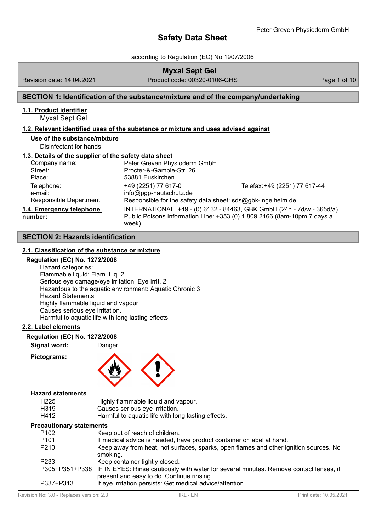according to Regulation (EC) No 1907/2006

Revision date: 14.04.2021 Product code: 00320-0106-GHS Page 1 of 10

**Myxal Sept Gel**

# **SECTION 1: Identification of the substance/mixture and of the company/undertaking**

# **1.1. Product identifier**

Myxal Sept Gel

# **1.2. Relevant identified uses of the substance or mixture and uses advised against**

**Use of the substance/mixture** Disinfectant for hands

# **1.3. Details of the supplier of the safety data sheet**

| Company name:                                    | Peter Greven Physioderm GmbH                                                                                 |                                                                                                                                                  |
|--------------------------------------------------|--------------------------------------------------------------------------------------------------------------|--------------------------------------------------------------------------------------------------------------------------------------------------|
| Street:                                          | Procter-&-Gamble-Str. 26                                                                                     |                                                                                                                                                  |
| Place:                                           | 53881 Euskirchen                                                                                             |                                                                                                                                                  |
| Telephone:<br>e-mail:<br>Responsible Department: | +49 (2251) 77 617-0<br>info@pgp-hautschutz.de<br>Responsible for the safety data sheet: sds@gbk-ingelheim.de | Telefax: +49 (2251) 77 617-44                                                                                                                    |
| 1.4. Emergency telephone<br>number:              | week)                                                                                                        | INTERNATIONAL: +49 - (0) 6132 - 84463, GBK GmbH (24h - 7d/w - 365d/a)<br>Public Poisons Information Line: +353 (0) 1 809 2166 (8am-10pm 7 days a |

# **SECTION 2: Hazards identification**

# **2.1. Classification of the substance or mixture**

### **Regulation (EC) No. 1272/2008**

Hazard categories: Flammable liquid: Flam. Liq. 2 Serious eye damage/eye irritation: Eye Irrit. 2 Hazardous to the aquatic environment: Aquatic Chronic 3 Hazard Statements: Highly flammable liquid and vapour. Causes serious eye irritation. Harmful to aquatic life with long lasting effects.

# **2.2. Label elements**

**Regulation (EC) No. 1272/2008**

**Signal word:** Danger

**Pictograms:**



# **Hazard statements**

| H <sub>225</sub>  | Highly flammable liquid and vapour.                |
|-------------------|----------------------------------------------------|
| H <sub>3</sub> 19 | Causes serious eye irritation.                     |
| H412              | Harmful to aquatic life with long lasting effects. |

### **Precautionary statements**

| ccaunonary statements |                                                                                                       |
|-----------------------|-------------------------------------------------------------------------------------------------------|
| P <sub>102</sub>      | Keep out of reach of children.                                                                        |
| P <sub>101</sub>      | If medical advice is needed, have product container or label at hand.                                 |
| P <sub>210</sub>      | Keep away from heat, hot surfaces, sparks, open flames and other ignition sources. No                 |
|                       | smoking.                                                                                              |
| P <sub>2</sub> 33     | Keep container tightly closed.                                                                        |
|                       | P305+P351+P338 IF IN EYES: Rinse cautiously with water for several minutes. Remove contact lenses, if |
|                       | present and easy to do. Continue rinsing.                                                             |
| P337+P313             | If eye irritation persists: Get medical advice/attention.                                             |
|                       |                                                                                                       |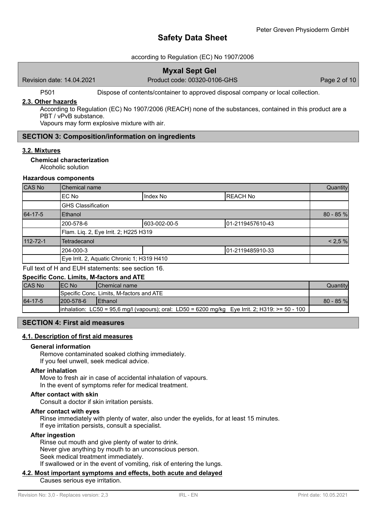# according to Regulation (EC) No 1907/2006

# **Myxal Sept Gel**

Revision date: 14.04.2021 Product code: 00320-0106-GHS Page 2 of 10

P501 Dispose of contents/container to approved disposal company or local collection.

### **2.3. Other hazards**

According to Regulation (EC) No 1907/2006 (REACH) none of the substances, contained in this product are a PBT / vPvB substance.

Vapours may form explosive mixture with air.

# **SECTION 3: Composition/information on ingredients**

### **3.2. Mixtures**

### **Chemical characterization**

Alcoholic solution

### **Hazardous components**

| CAS No   | Chemical name                              |              |                  | Quantity    |
|----------|--------------------------------------------|--------------|------------------|-------------|
|          | EC No                                      | Index No     | <b>REACH No</b>  |             |
|          | <b>GHS Classification</b>                  |              |                  |             |
| 64-17-5  | Ethanol                                    |              |                  | $80 - 85 %$ |
|          | 200-578-6                                  | 603-002-00-5 | 01-2119457610-43 |             |
|          | Flam. Liq. 2, Eye Irrit. 2; H225 H319      |              |                  |             |
| 112-72-1 | Tetradecanol                               |              |                  | < 2.5 %     |
|          | 204-000-3                                  |              | 01-2119485910-33 |             |
|          | Eye Irrit. 2, Aquatic Chronic 1; H319 H410 |              |                  |             |
|          |                                            |              |                  |             |

#### Full text of H and EUH statements: see section 16. **Specific Conc. Limits, M-factors and ATE**

| Specific Conc. Limits, M-factors and ATE |                  |                                                                                                 |            |
|------------------------------------------|------------------|-------------------------------------------------------------------------------------------------|------------|
| <b>CAS No</b>                            | <b>IEC No</b>    | IChemical name                                                                                  | Quantity   |
|                                          |                  | Specific Conc. Limits, M-factors and ATE                                                        |            |
| 64-17-5                                  | $1200 - 578 - 6$ | <b>IEthanol</b>                                                                                 | $80 - 85%$ |
|                                          |                  | inhalation: LC50 = 95,6 mg/l (vapours); oral: LD50 = 6200 mg/kg Eye Irrit. 2; H319: >= 50 - 100 |            |

# **SECTION 4: First aid measures**

### **4.1. Description of first aid measures**

#### **General information**

Remove contaminated soaked clothing immediately. If you feel unwell, seek medical advice.

# **After inhalation**

Move to fresh air in case of accidental inhalation of vapours. In the event of symptoms refer for medical treatment.

### **After contact with skin**

Consult a doctor if skin irritation persists.

#### **After contact with eyes**

Rinse immediately with plenty of water, also under the eyelids, for at least 15 minutes. If eye irritation persists, consult a specialist.

### **After ingestion**

Rinse out mouth and give plenty of water to drink. Never give anything by mouth to an unconscious person. Seek medical treatment immediately. If swallowed or in the event of vomiting, risk of entering the lungs.

# **4.2. Most important symptoms and effects, both acute and delayed**

Causes serious eye irritation.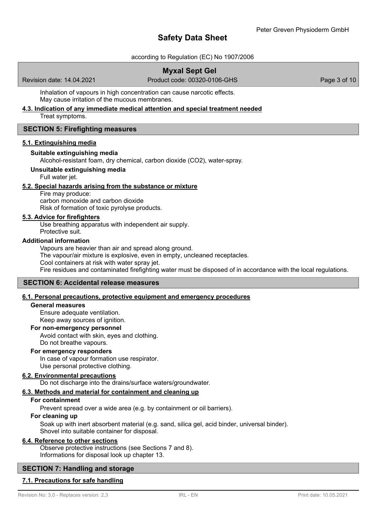according to Regulation (EC) No 1907/2006

# **Myxal Sept Gel**

Revision date: 14.04.2021 Product code: 00320-0106-GHS Page 3 of 10

Inhalation of vapours in high concentration can cause narcotic effects. May cause irritation of the mucous membranes.

**4.3. Indication of any immediate medical attention and special treatment needed**

Treat symptoms.

# **SECTION 5: Firefighting measures**

### **5.1. Extinguishing media**

# **Suitable extinguishing media**

Alcohol-resistant foam, dry chemical, carbon dioxide (CO2), water-spray.

# **Unsuitable extinguishing media**

Full water jet.

### **5.2. Special hazards arising from the substance or mixture**

Fire may produce: carbon monoxide and carbon dioxide Risk of formation of toxic pyrolyse products.

### **5.3. Advice for firefighters**

Use breathing apparatus with independent air supply. Protective suit.

### **Additional information**

Vapours are heavier than air and spread along ground. The vapour/air mixture is explosive, even in empty, uncleaned receptacles. Cool containers at risk with water spray jet. Fire residues and contaminated firefighting water must be disposed of in accordance with the local regulations.

# **SECTION 6: Accidental release measures**

# **6.1. Personal precautions, protective equipment and emergency procedures**

### **General measures**

Ensure adequate ventilation. Keep away sources of ignition.

### **For non-emergency personnel**

Avoid contact with skin, eyes and clothing. Do not breathe vapours.

### **For emergency responders**

In case of vapour formation use respirator. Use personal protective clothing.

### **6.2. Environmental precautions**

Do not discharge into the drains/surface waters/groundwater.

### **6.3. Methods and material for containment and cleaning up**

# **For containment**

Prevent spread over a wide area (e.g. by containment or oil barriers).

### **For cleaning up**

Soak up with inert absorbent material (e.g. sand, silica gel, acid binder, universal binder). Shovel into suitable container for disposal.

### **6.4. Reference to other sections**

Observe protective instructions (see Sections 7 and 8). Informations for disposal look up chapter 13.

# **SECTION 7: Handling and storage**

# **7.1. Precautions for safe handling**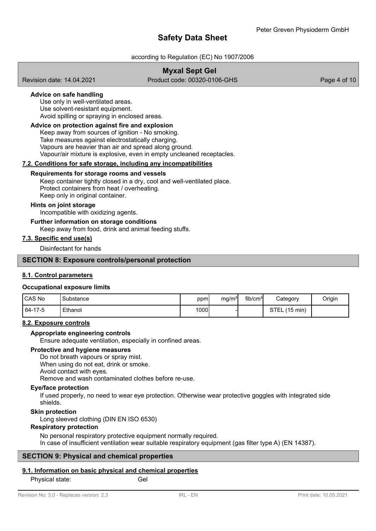# according to Regulation (EC) No 1907/2006

# **Myxal Sept Gel**

Revision date: 14.04.2021 Product code: 00320-0106-GHS Page 4 of 10

# **Advice on safe handling**

Use only in well-ventilated areas. Use solvent-resistant equipment. Avoid spilling or spraying in enclosed areas.

### **Advice on protection against fire and explosion**

Keep away from sources of ignition - No smoking. Take measures against electrostatically charging. Vapours are heavier than air and spread along ground. Vapour/air mixture is explosive, even in empty uncleaned receptacles.

# **7.2. Conditions for safe storage, including any incompatibilities**

### **Requirements for storage rooms and vessels**

Keep container tightly closed in a dry, cool and well-ventilated place. Protect containers from heat / overheating. Keep only in original container.

### **Hints on joint storage**

Incompatible with oxidizing agents.

# **Further information on storage conditions**

Keep away from food, drink and animal feeding stuffs.

### **7.3. Specific end use(s)**

Disinfectant for hands

### **SECTION 8: Exposure controls/personal protection**

# **8.1. Control parameters**

### **Occupational exposure limits**

| <b>ICAS No</b> | Substance | ppm  | mq/m <sup>3</sup> | fib/cm <sup>31</sup> | Category                          | Origin |
|----------------|-----------|------|-------------------|----------------------|-----------------------------------|--------|
| 64-17-5        | Ethanol   | 1000 |                   |                      | <b>STEL</b><br>$(15 \text{ min})$ |        |

### **8.2. Exposure controls**

### **Appropriate engineering controls**

Ensure adequate ventilation, especially in confined areas.

### **Protective and hygiene measures**

Do not breath vapours or spray mist. When using do not eat, drink or smoke. Avoid contact with eyes. Remove and wash contaminated clothes before re-use.

### **Eye/face protection**

If used properly, no need to wear eye protection. Otherwise wear protective goggles with integrated side shields.

### **Skin protection**

Long sleeved clothing (DIN EN ISO 6530)

### **Respiratory protection**

No personal respiratory protective equipment normally required.

# In case of insufficient ventilation wear suitable respiratory equipment (gas filter type A) (EN 14387).

# **SECTION 9: Physical and chemical properties**

# **9.1. Information on basic physical and chemical properties**

Physical state: Gel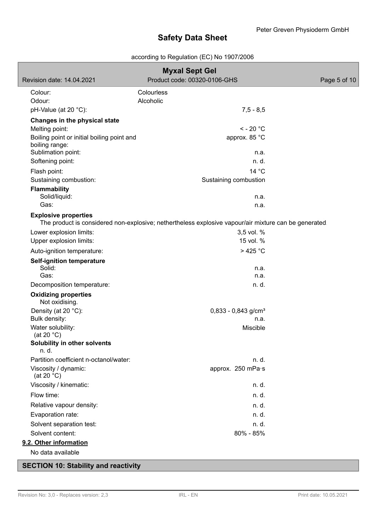# according to Regulation (EC) No 1907/2006

| <b>Myxal Sept Gel</b>                                        |                                                                                                      |              |
|--------------------------------------------------------------|------------------------------------------------------------------------------------------------------|--------------|
| Revision date: 14.04.2021                                    | Product code: 00320-0106-GHS                                                                         | Page 5 of 10 |
| Colour:                                                      | Colourless                                                                                           |              |
| Odour:                                                       | Alcoholic                                                                                            |              |
| pH-Value (at 20 °C):                                         | $7,5 - 8,5$                                                                                          |              |
| Changes in the physical state                                |                                                                                                      |              |
| Melting point:                                               | $<$ - 20 $^{\circ}$ C                                                                                |              |
| Boiling point or initial boiling point and<br>boiling range: | approx. 85 °C                                                                                        |              |
| Sublimation point:<br>Softening point:                       | n.a.<br>n. d.                                                                                        |              |
|                                                              |                                                                                                      |              |
| Flash point:                                                 | 14 °C                                                                                                |              |
| Sustaining combustion:                                       | Sustaining combustion                                                                                |              |
| <b>Flammability</b><br>Solid/liquid:                         | n.a.                                                                                                 |              |
| Gas:                                                         | n.a.                                                                                                 |              |
| <b>Explosive properties</b>                                  | The product is considered non-explosive; nethertheless explosive vapour/air mixture can be generated |              |
| Lower explosion limits:                                      | 3,5 vol. %                                                                                           |              |
| Upper explosion limits:                                      | 15 vol. %                                                                                            |              |
| Auto-ignition temperature:                                   | $>425$ °C                                                                                            |              |
| <b>Self-ignition temperature</b>                             |                                                                                                      |              |
| Solid:                                                       | n.a.                                                                                                 |              |
| Gas:                                                         | n.a.                                                                                                 |              |
| Decomposition temperature:                                   | n. d.                                                                                                |              |
| <b>Oxidizing properties</b><br>Not oxidising.                |                                                                                                      |              |
| Density (at 20 °C):                                          | $0,833 - 0,843$ g/cm <sup>3</sup>                                                                    |              |
| Bulk density:                                                | n.a.                                                                                                 |              |
| Water solubility:                                            | Miscible                                                                                             |              |
| (at 20 $°C$ )<br>Solubility in other solvents                |                                                                                                      |              |
| n. d.                                                        |                                                                                                      |              |
| Partition coefficient n-octanol/water:                       | n. d.                                                                                                |              |
| Viscosity / dynamic:<br>(at 20 $°C$ )                        | approx. 250 mPa·s                                                                                    |              |
| Viscosity / kinematic:                                       | n. d.                                                                                                |              |
| Flow time:                                                   | n. d.                                                                                                |              |
| Relative vapour density:                                     | n. d.                                                                                                |              |
| Evaporation rate:                                            | n. d.                                                                                                |              |
| Solvent separation test:                                     | n. d.                                                                                                |              |
| Solvent content:                                             | 80% - 85%                                                                                            |              |
| 9.2. Other information                                       |                                                                                                      |              |
| No data available                                            |                                                                                                      |              |
| <b>SECTION 10: Stability and reactivity</b>                  |                                                                                                      |              |

Revision No: 3,0 - Replaces version: 2,3 IRL - EN Print date: 10.05.2021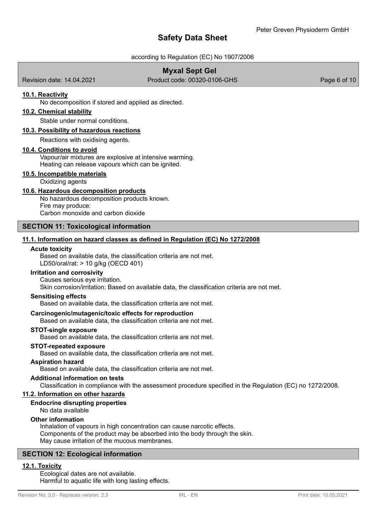# according to Regulation (EC) No 1907/2006

# **Myxal Sept Gel**

Revision date: 14.04.2021 Product code: 00320-0106-GHS Page 6 of 10

### **10.1. Reactivity**

No decomposition if stored and applied as directed.

# **10.2. Chemical stability**

Stable under normal conditions.

### **10.3. Possibility of hazardous reactions**

Reactions with oxidising agents.

#### **10.4. Conditions to avoid**

Vapour/air mixtures are explosive at intensive warming. Heating can release vapours which can be ignited.

### **10.5. Incompatible materials**

Oxidizing agents

### **10.6. Hazardous decomposition products**

No hazardous decomposition products known. Fire may produce: Carbon monoxide and carbon dioxide

### **SECTION 11: Toxicological information**

### **11.1. Information on hazard classes as defined in Regulation (EC) No 1272/2008**

#### **Acute toxicity**

Based on available data, the classification criteria are not met. LD50/oral/rat: > 10 g/kg (OECD 401)

### **Irritation and corrosivity**

Causes serious eye irritation.

Skin corrosion/irritation: Based on available data, the classification criteria are not met.

#### **Sensitising effects**

Based on available data, the classification criteria are not met.

### **Carcinogenic/mutagenic/toxic effects for reproduction**

Based on available data, the classification criteria are not met.

### **STOT-single exposure**

Based on available data, the classification criteria are not met.

#### **STOT-repeated exposure**

Based on available data, the classification criteria are not met.

#### **Aspiration hazard**

Based on available data, the classification criteria are not met.

#### **Additional information on tests**

Classification in compliance with the assessment procedure specified in the Regulation (EC) no 1272/2008.

# **11.2. Information on other hazards**

### **Endocrine disrupting properties**

No data available

### **Other information**

Inhalation of vapours in high concentration can cause narcotic effects. Components of the product may be absorbed into the body through the skin. May cause irritation of the mucous membranes.

# **SECTION 12: Ecological information**

# **12.1. Toxicity**

Ecological dates are not available. Harmful to aquatic life with long lasting effects.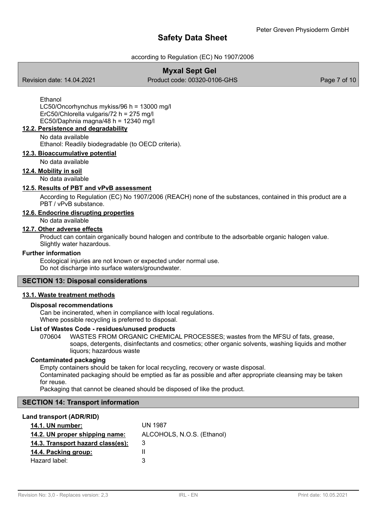# according to Regulation (EC) No 1907/2006

# **Myxal Sept Gel**

Revision date: 14.04.2021 Product code: 00320-0106-GHS Page 7 of 10

Ethanol LC50/Oncorhynchus mykiss/96 h = 13000 mg/l ErC50/Chlorella vulgaris/72 h = 275 mg/l EC50/Daphnia magna/48 h =  $12340$  mg/l

# **12.2. Persistence and degradability**

No data available

Ethanol: Readily biodegradable (to OECD criteria).

# **12.3. Bioaccumulative potential**

### No data available

### **12.4. Mobility in soil**

No data available

# **12.5. Results of PBT and vPvB assessment**

According to Regulation (EC) No 1907/2006 (REACH) none of the substances, contained in this product are a PBT / vPvB substance.

# **12.6. Endocrine disrupting properties**

No data available

# **12.7. Other adverse effects**

Product can contain organically bound halogen and contribute to the adsorbable organic halogen value. Slightly water hazardous.

### **Further information**

Ecological injuries are not known or expected under normal use. Do not discharge into surface waters/groundwater.

### **SECTION 13: Disposal considerations**

### **13.1. Waste treatment methods**

### **Disposal recommendations**

Can be incinerated, when in compliance with local regulations. Where possible recycling is preferred to disposal.

# **List of Wastes Code - residues/unused products**

070604 WASTES FROM ORGANIC CHEMICAL PROCESSES; wastes from the MFSU of fats, grease, soaps, detergents, disinfectants and cosmetics; other organic solvents, washing liquids and mother liquors; hazardous waste

### **Contaminated packaging**

Empty containers should be taken for local recycling, recovery or waste disposal.

Contaminated packaging should be emptied as far as possible and after appropriate cleansing may be taken for reuse.

Packaging that cannot be cleaned should be disposed of like the product.

# **SECTION 14: Transport information**

### **Land transport (ADR/RID)**

| 14.1. UN number:                  | UN 1987                    |
|-----------------------------------|----------------------------|
| 14.2. UN proper shipping name:    | ALCOHOLS, N.O.S. (Ethanol) |
| 14.3. Transport hazard class(es): | 3                          |
| 14.4. Packing group:              |                            |
| Hazard label:                     | З                          |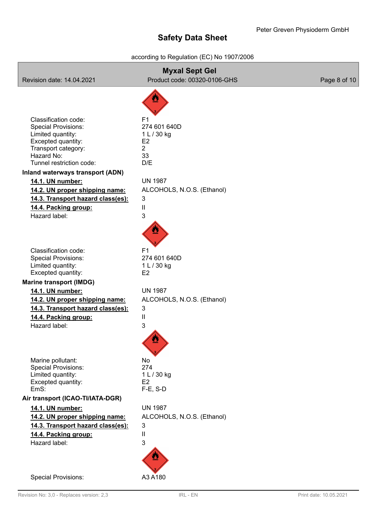# according to Regulation (EC) No 1907/2006

| <b>Myxal Sept Gel</b><br>Product code: 00320-0106-GHS<br>Revision date: 14.04.2021<br>Page 8 of 10                                                                                                                                                                                                                                     |                                                                                                                                                                                        |  |
|----------------------------------------------------------------------------------------------------------------------------------------------------------------------------------------------------------------------------------------------------------------------------------------------------------------------------------------|----------------------------------------------------------------------------------------------------------------------------------------------------------------------------------------|--|
|                                                                                                                                                                                                                                                                                                                                        |                                                                                                                                                                                        |  |
| Classification code:<br><b>Special Provisions:</b><br>Limited quantity:<br>Excepted quantity:<br>Transport category:<br>Hazard No:<br>Tunnel restriction code:<br>Inland waterways transport (ADN)<br>14.1. UN number:<br>14.2. UN proper shipping name:<br>14.3. Transport hazard class(es):<br>14.4. Packing group:<br>Hazard label: | F <sub>1</sub><br>274 601 640D<br>1 L / 30 kg<br>E <sub>2</sub><br>$\overline{2}$<br>33<br>D/E<br><b>UN 1987</b><br>ALCOHOLS, N.O.S. (Ethanol)<br>3<br>$\ensuremath{\mathsf{II}}$<br>3 |  |
| Classification code:<br><b>Special Provisions:</b><br>Limited quantity:<br>Excepted quantity:<br><b>Marine transport (IMDG)</b><br>14.1. UN number:<br>14.2. UN proper shipping name:<br>14.3. Transport hazard class(es):<br>14.4. Packing group:<br>Hazard label:                                                                    | F <sub>1</sub><br>274 601 640D<br>1 L / 30 kg<br>E <sub>2</sub><br><b>UN 1987</b><br>ALCOHOLS, N.O.S. (Ethanol)<br>3<br>$\ensuremath{\mathsf{II}}$<br>3                                |  |
| Marine pollutant:<br><b>Special Provisions:</b><br>Limited quantity:<br>Excepted quantity:<br>EmS:                                                                                                                                                                                                                                     | No<br>274<br>1 L / 30 kg<br>E <sub>2</sub><br>$F-E$ , S-D                                                                                                                              |  |
| Air transport (ICAO-TI/IATA-DGR)                                                                                                                                                                                                                                                                                                       |                                                                                                                                                                                        |  |
| 14.1. UN number:<br>14.2. UN proper shipping name:<br>14.3. Transport hazard class(es):<br>14.4. Packing group:<br>Hazard label:                                                                                                                                                                                                       | <b>UN 1987</b><br>ALCOHOLS, N.O.S. (Ethanol)<br>3<br>$\ensuremath{\mathsf{II}}$<br>3                                                                                                   |  |
| <b>Special Provisions:</b>                                                                                                                                                                                                                                                                                                             | A3 A180                                                                                                                                                                                |  |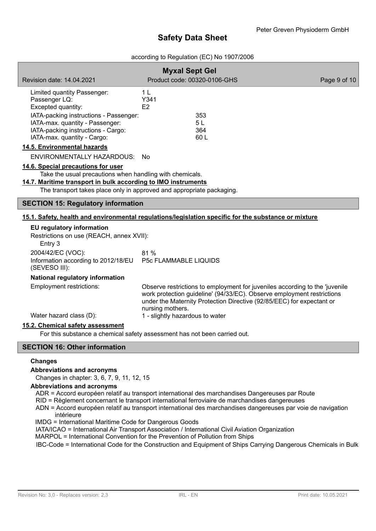# according to Regulation (EC) No 1907/2006

|                                                                                                                                                                                                                                          | <b>Myxal Sept Gel</b>                                                                                                                                                                                                                              |              |
|------------------------------------------------------------------------------------------------------------------------------------------------------------------------------------------------------------------------------------------|----------------------------------------------------------------------------------------------------------------------------------------------------------------------------------------------------------------------------------------------------|--------------|
| Revision date: 14.04.2021                                                                                                                                                                                                                | Product code: 00320-0106-GHS                                                                                                                                                                                                                       | Page 9 of 10 |
| Limited quantity Passenger:<br>Passenger LQ:<br>Excepted quantity:<br>IATA-packing instructions - Passenger:                                                                                                                             | 1 <sub>L</sub><br>Y341<br>E2<br>353                                                                                                                                                                                                                |              |
| IATA-max. quantity - Passenger:<br>IATA-packing instructions - Cargo:<br>IATA-max. quantity - Cargo:                                                                                                                                     | 5L<br>364<br>60 L                                                                                                                                                                                                                                  |              |
| 14.5. Environmental hazards                                                                                                                                                                                                              |                                                                                                                                                                                                                                                    |              |
| ENVIRONMENTALLY HAZARDOUS: No                                                                                                                                                                                                            |                                                                                                                                                                                                                                                    |              |
| 14.6. Special precautions for user<br>Take the usual precautions when handling with chemicals.<br>14.7. Maritime transport in bulk according to IMO instruments<br>The transport takes place only in approved and appropriate packaging. |                                                                                                                                                                                                                                                    |              |
| <b>SECTION 15: Regulatory information</b>                                                                                                                                                                                                |                                                                                                                                                                                                                                                    |              |
|                                                                                                                                                                                                                                          | 15.1. Safety, health and environmental regulations/legislation specific for the substance or mixture                                                                                                                                               |              |
| EU regulatory information<br>Restrictions on use (REACH, annex XVII):<br>Entry 3                                                                                                                                                         |                                                                                                                                                                                                                                                    |              |
| 2004/42/EC (VOC):<br>Information according to 2012/18/EU<br>(SEVESO III):                                                                                                                                                                | 81%<br><b>P5c FLAMMABLE LIQUIDS</b>                                                                                                                                                                                                                |              |
| National regulatory information                                                                                                                                                                                                          |                                                                                                                                                                                                                                                    |              |
| <b>Employment restrictions:</b>                                                                                                                                                                                                          | Observe restrictions to employment for juveniles according to the 'juvenile<br>work protection guideline' (94/33/EC). Observe employment restrictions<br>under the Maternity Protection Directive (92/85/EEC) for expectant or<br>nursing mothers. |              |
| Water hazard class (D):                                                                                                                                                                                                                  | 1 - slightly hazardous to water                                                                                                                                                                                                                    |              |
| 15.2. Chemical safety assessment                                                                                                                                                                                                         | For this substance a chemical safety assessment has not been carried out.                                                                                                                                                                          |              |

# **SECTION 16: Other information**

# **Changes**

# **Abbreviations and acronyms**

Changes in chapter: 3, 6, 7, 9, 11, 12, 15

### **Abbreviations and acronyms**

ADR = Accord européen relatif au transport international des marchandises Dangereuses par Route

- RID = Règlement concernant le transport international ferroviaire de marchandises dangereuses
- ADN = Accord européen relatif au transport international des marchandises dangereuses par voie de navigation intérieure

IMDG = International Maritime Code for Dangerous Goods

- IATA/ICAO = International Air Transport Association / International Civil Aviation Organization
- MARPOL = International Convention for the Prevention of Pollution from Ships

IBC-Code = International Code for the Construction and Equipment of Ships Carrying Dangerous Chemicals in Bulk